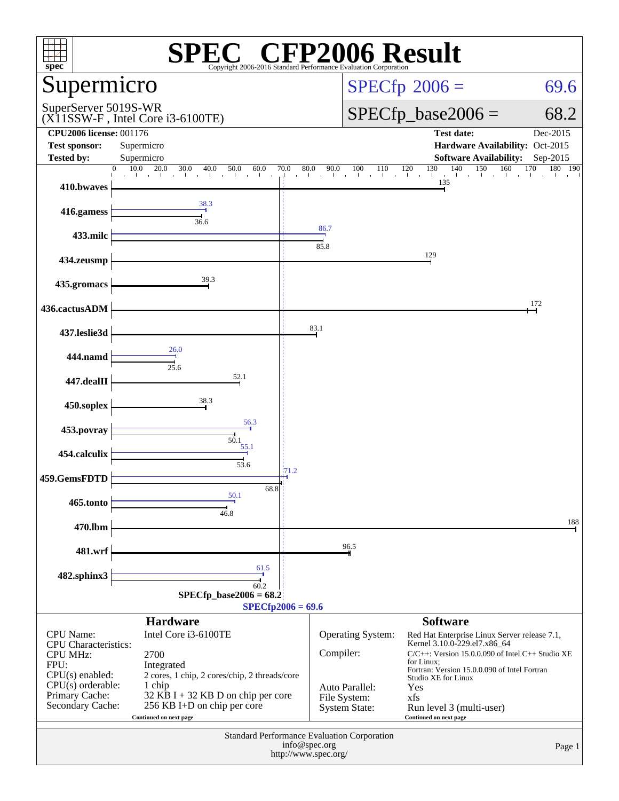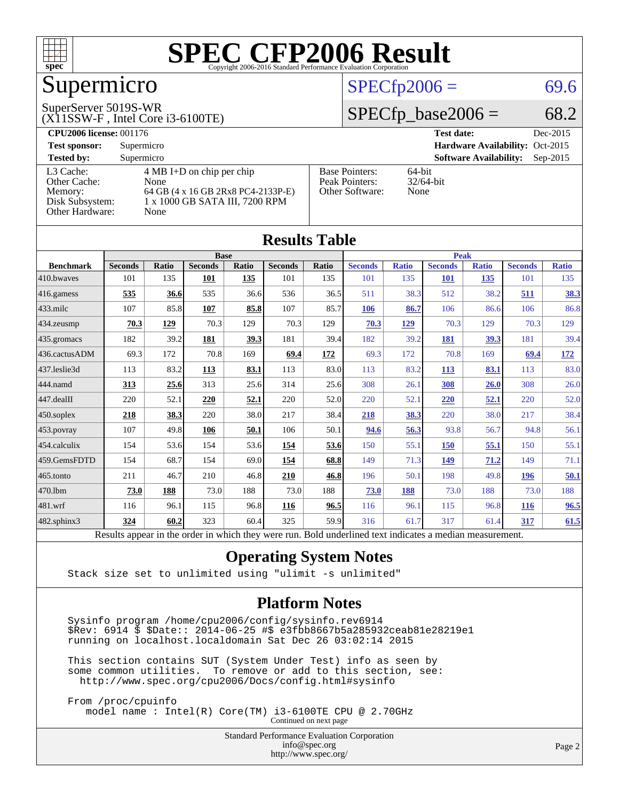

### Supermicro

#### SuperServer 5019S-WR

(X11SSW-F , Intel Core i3-6100TE)

#### $SPECfp2006 = 69.6$  $SPECfp2006 = 69.6$

#### $SPECfp\_base2006 = 68.2$

| <b>CPU2006 license: 001176</b> |                                     |                       | <b>Test date:</b><br>Dec-2015               |
|--------------------------------|-------------------------------------|-----------------------|---------------------------------------------|
| <b>Test sponsor:</b>           | Supermicro                          |                       | Hardware Availability: Oct-2015             |
| <b>Tested by:</b>              | Supermicro                          |                       | <b>Software Availability:</b><br>$Sep-2015$ |
| L3 Cache:                      | $4 \text{ MB I+D}$ on chip per chip | <b>Base Pointers:</b> | $64$ -bit                                   |
| Other Cache:                   | None                                | Peak Pointers:        | $32/64$ -bit                                |
| Memory:                        | 64 GB (4 x 16 GB 2Rx8 PC4-2133P-E)  | Other Software:       | None                                        |
| Disk Subsystem:                | 1 x 1000 GB SATA III, 7200 RPM      |                       |                                             |
| Other Hardware:                | None                                |                       |                                             |

**[Results Table](http://www.spec.org/auto/cpu2006/Docs/result-fields.html#ResultsTable)**

| Results Table    |                                                                                                          |       |                |       |                |       |                |              |                |              |                |              |
|------------------|----------------------------------------------------------------------------------------------------------|-------|----------------|-------|----------------|-------|----------------|--------------|----------------|--------------|----------------|--------------|
|                  |                                                                                                          |       | <b>Base</b>    |       |                |       |                |              | <b>Peak</b>    |              |                |              |
| <b>Benchmark</b> | <b>Seconds</b>                                                                                           | Ratio | <b>Seconds</b> | Ratio | <b>Seconds</b> | Ratio | <b>Seconds</b> | <b>Ratio</b> | <b>Seconds</b> | <b>Ratio</b> | <b>Seconds</b> | <b>Ratio</b> |
| 410.bwaves       | 101                                                                                                      | 135   | 101            | 135   | 101            | 135   | 101            | 135          | <b>101</b>     | 135          | 101            | 135          |
| 416.gamess       | 535                                                                                                      | 36.6  | 535            | 36.6  | 536            | 36.5  | 511            | 38.3         | 512            | 38.2         | 511            | <u>38.3</u>  |
| $433$ .milc      | 107                                                                                                      | 85.8  | 107            | 85.8  | 107            | 85.7  | 106            | 86.7         | 106            | 86.6         | 106            | 86.8         |
| 434.zeusmp       | 70.3                                                                                                     | 129   | 70.3           | 129   | 70.3           | 129   | 70.3           | 129          | 70.3           | 129          | 70.3           | 129          |
| 435.gromacs      | 182                                                                                                      | 39.2  | 181            | 39.3  | 181            | 39.4  | 182            | 39.2         | 181            | 39.3         | 181            | 39.4         |
| 436.cactusADM    | 69.3                                                                                                     | 172   | 70.8           | 169   | 69.4           | 172   | 69.3           | 172          | 70.8           | 169          | 69.4           | <u>172</u>   |
| 437.leslie3d     | 113                                                                                                      | 83.2  | <u>113</u>     | 83.1  | 113            | 83.0  | 113            | 83.2         | <b>113</b>     | 83.1         | 113            | 83.0         |
| 444.namd         | 313                                                                                                      | 25.6  | 313            | 25.6  | 314            | 25.6  | 308            | 26.1         | 308            | 26.0         | 308            | 26.0         |
| $447$ .dealII    | 220                                                                                                      | 52.1  | 220            | 52.1  | 220            | 52.0  | 220            | 52.1         | 220            | 52.1         | 220            | 52.0         |
| $450$ .soplex    | 218                                                                                                      | 38.3  | 220            | 38.0  | 217            | 38.4  | 218            | 38.3         | 220            | 38.0         | 217            | 38.4         |
| 453.povray       | 107                                                                                                      | 49.8  | 106            | 50.1  | 106            | 50.1  | 94.6           | 56.3         | 93.8           | 56.7         | 94.8           | 56.1         |
| $ 454$ .calculix | 154                                                                                                      | 53.6  | 154            | 53.6  | 154            | 53.6  | 150            | 55.1         | <b>150</b>     | 55.1         | 150            | 55.1         |
| 459.GemsFDTD     | 154                                                                                                      | 68.7  | 154            | 69.0  | 154            | 68.8  | 149            | 71.3         | 149            | 71.2         | 149            | 71.1         |
| $465$ .tonto     | 211                                                                                                      | 46.7  | 210            | 46.8  | 210            | 46.8  | 196            | 50.1         | 198            | 49.8         | <b>196</b>     | 50.1         |
| 470.1bm          | 73.0                                                                                                     | 188   | 73.0           | 188   | 73.0           | 188   | 73.0           | 188          | 73.0           | 188          | 73.0           | 188          |
| 481.wrf          | 116                                                                                                      | 96.1  | 115            | 96.8  | 116            | 96.5  | 116            | 96.1         | 115            | 96.8         | <b>116</b>     | 96.5         |
| 482.sphinx3      | 324                                                                                                      | 60.2  | 323            | 60.4  | 325            | 59.9  | 316            | 61.7         | 317            | 61.4         | 317            | 61.5         |
|                  | Results appear in the order in which they were run. Bold underlined text indicates a median measurement. |       |                |       |                |       |                |              |                |              |                |              |

#### **[Operating System Notes](http://www.spec.org/auto/cpu2006/Docs/result-fields.html#OperatingSystemNotes)**

Stack size set to unlimited using "ulimit -s unlimited"

#### **[Platform Notes](http://www.spec.org/auto/cpu2006/Docs/result-fields.html#PlatformNotes)**

 Sysinfo program /home/cpu2006/config/sysinfo.rev6914 \$Rev: 6914 \$ \$Date:: 2014-06-25 #\$ e3fbb8667b5a285932ceab81e28219e1 running on localhost.localdomain Sat Dec 26 03:02:14 2015

 This section contains SUT (System Under Test) info as seen by some common utilities. To remove or add to this section, see: <http://www.spec.org/cpu2006/Docs/config.html#sysinfo>

 From /proc/cpuinfo model name : Intel(R) Core(TM) i3-6100TE CPU @ 2.70GHz

Continued on next page

Standard Performance Evaluation Corporation [info@spec.org](mailto:info@spec.org) <http://www.spec.org/>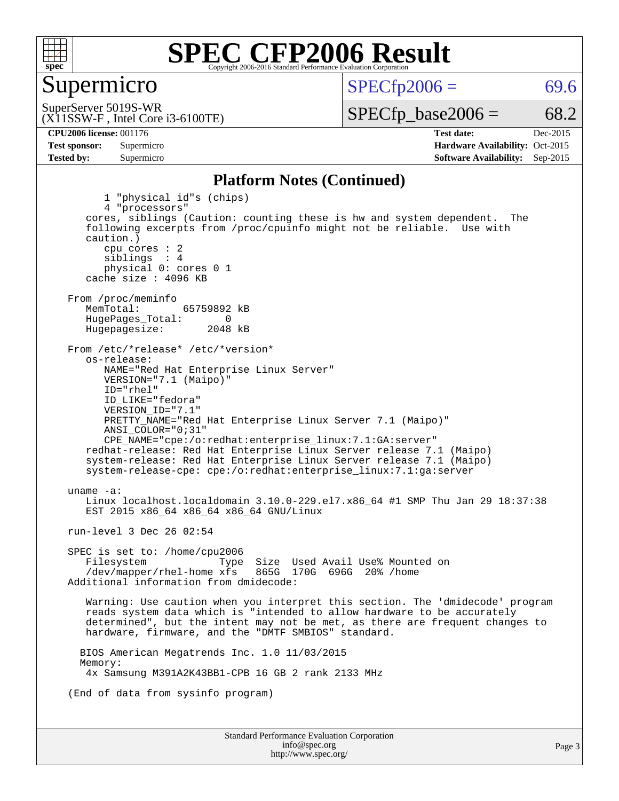

#### Supermicro

 $SPECTp2006 = 69.6$ 

(X11SSW-F , Intel Core i3-6100TE) SuperServer 5019S-WR

 $SPECTp\_base2006 = 68.2$ 

**[CPU2006 license:](http://www.spec.org/auto/cpu2006/Docs/result-fields.html#CPU2006license)** 001176 **[Test date:](http://www.spec.org/auto/cpu2006/Docs/result-fields.html#Testdate)** Dec-2015 **[Test sponsor:](http://www.spec.org/auto/cpu2006/Docs/result-fields.html#Testsponsor)** Supermicro Supermicro **[Hardware Availability:](http://www.spec.org/auto/cpu2006/Docs/result-fields.html#HardwareAvailability)** Oct-2015 **[Tested by:](http://www.spec.org/auto/cpu2006/Docs/result-fields.html#Testedby)** Supermicro **[Software Availability:](http://www.spec.org/auto/cpu2006/Docs/result-fields.html#SoftwareAvailability)** Sep-2015

#### **[Platform Notes \(Continued\)](http://www.spec.org/auto/cpu2006/Docs/result-fields.html#PlatformNotes)**

Standard Performance Evaluation Corporation [info@spec.org](mailto:info@spec.org) 1 "physical id"s (chips) 4 "processors" cores, siblings (Caution: counting these is hw and system dependent. The following excerpts from /proc/cpuinfo might not be reliable. Use with caution.) cpu cores : 2 siblings : 4 physical 0: cores 0 1 cache size : 4096 KB From /proc/meminfo<br>MemTotal: 65759892 kB HugePages\_Total: 0<br>Hugepagesize: 2048 kB Hugepagesize: From /etc/\*release\* /etc/\*version\* os-release: NAME="Red Hat Enterprise Linux Server" VERSION="7.1 (Maipo)" ID="rhel" ID\_LIKE="fedora" VERSION\_ID="7.1" PRETTY\_NAME="Red Hat Enterprise Linux Server 7.1 (Maipo)" ANSI\_COLOR="0;31" CPE\_NAME="cpe:/o:redhat:enterprise\_linux:7.1:GA:server" redhat-release: Red Hat Enterprise Linux Server release 7.1 (Maipo) system-release: Red Hat Enterprise Linux Server release 7.1 (Maipo) system-release-cpe: cpe:/o:redhat:enterprise\_linux:7.1:ga:server uname -a: Linux localhost.localdomain 3.10.0-229.el7.x86\_64 #1 SMP Thu Jan 29 18:37:38 EST 2015 x86\_64 x86\_64 x86\_64 GNU/Linux run-level 3 Dec 26 02:54 SPEC is set to: /home/cpu2006 Filesystem Type Size Used Avail Use% Mounted on<br>/dev/mapper/rhel-home xfs 865G 170G 696G 20% /home  $/$ dev/mapper/rhel-home  $x$ fs Additional information from dmidecode: Warning: Use caution when you interpret this section. The 'dmidecode' program reads system data which is "intended to allow hardware to be accurately determined", but the intent may not be met, as there are frequent changes to hardware, firmware, and the "DMTF SMBIOS" standard. BIOS American Megatrends Inc. 1.0 11/03/2015 Memory: 4x Samsung M391A2K43BB1-CPB 16 GB 2 rank 2133 MHz (End of data from sysinfo program)

<http://www.spec.org/>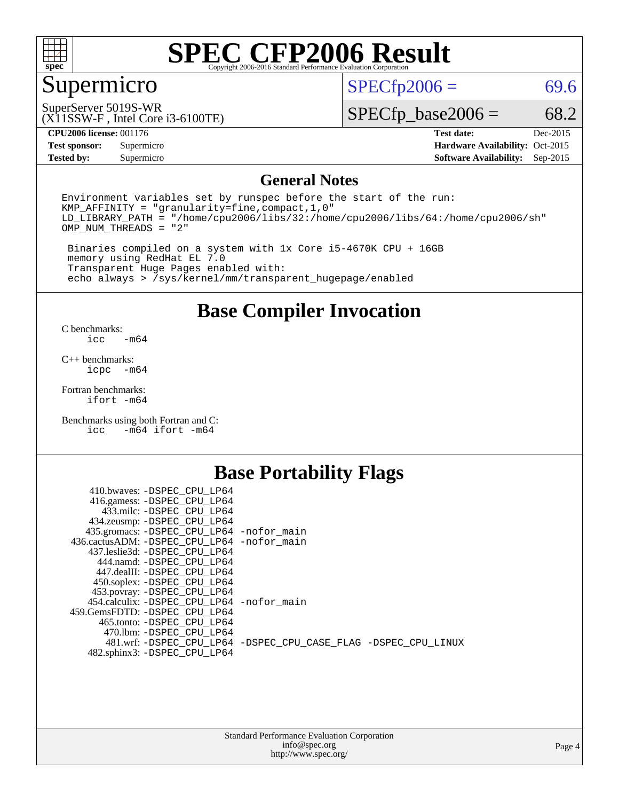

### Supermicro

 $SPECfp2006 = 69.6$  $SPECfp2006 = 69.6$ 

(X11SSW-F , Intel Core i3-6100TE) SuperServer 5019S-WR

 $SPECfp\_base2006 = 68.2$ 

**[CPU2006 license:](http://www.spec.org/auto/cpu2006/Docs/result-fields.html#CPU2006license)** 001176 **[Test date:](http://www.spec.org/auto/cpu2006/Docs/result-fields.html#Testdate)** Dec-2015

**[Tested by:](http://www.spec.org/auto/cpu2006/Docs/result-fields.html#Testedby)** Supermicro **[Software Availability:](http://www.spec.org/auto/cpu2006/Docs/result-fields.html#SoftwareAvailability)** Sep-2015

**[Test sponsor:](http://www.spec.org/auto/cpu2006/Docs/result-fields.html#Testsponsor)** Supermicro Supermicro **[Hardware Availability:](http://www.spec.org/auto/cpu2006/Docs/result-fields.html#HardwareAvailability)** Oct-2015

#### **[General Notes](http://www.spec.org/auto/cpu2006/Docs/result-fields.html#GeneralNotes)**

Environment variables set by runspec before the start of the run: KMP\_AFFINITY = "granularity=fine,compact,1,0" LD\_LIBRARY\_PATH = "/home/cpu2006/libs/32:/home/cpu2006/libs/64:/home/cpu2006/sh" OMP\_NUM\_THREADS = "2"

 Binaries compiled on a system with 1x Core i5-4670K CPU + 16GB memory using RedHat EL 7.0 Transparent Huge Pages enabled with: echo always > /sys/kernel/mm/transparent\_hugepage/enabled

**[Base Compiler Invocation](http://www.spec.org/auto/cpu2006/Docs/result-fields.html#BaseCompilerInvocation)**

[C benchmarks](http://www.spec.org/auto/cpu2006/Docs/result-fields.html#Cbenchmarks):  $-m64$ 

[C++ benchmarks:](http://www.spec.org/auto/cpu2006/Docs/result-fields.html#CXXbenchmarks) [icpc -m64](http://www.spec.org/cpu2006/results/res2016q1/cpu2006-20160106-38568.flags.html#user_CXXbase_intel_icpc_64bit_bedb90c1146cab66620883ef4f41a67e)

[Fortran benchmarks](http://www.spec.org/auto/cpu2006/Docs/result-fields.html#Fortranbenchmarks): [ifort -m64](http://www.spec.org/cpu2006/results/res2016q1/cpu2006-20160106-38568.flags.html#user_FCbase_intel_ifort_64bit_ee9d0fb25645d0210d97eb0527dcc06e)

[Benchmarks using both Fortran and C](http://www.spec.org/auto/cpu2006/Docs/result-fields.html#BenchmarksusingbothFortranandC): [icc -m64](http://www.spec.org/cpu2006/results/res2016q1/cpu2006-20160106-38568.flags.html#user_CC_FCbase_intel_icc_64bit_0b7121f5ab7cfabee23d88897260401c) [ifort -m64](http://www.spec.org/cpu2006/results/res2016q1/cpu2006-20160106-38568.flags.html#user_CC_FCbase_intel_ifort_64bit_ee9d0fb25645d0210d97eb0527dcc06e)

#### **[Base Portability Flags](http://www.spec.org/auto/cpu2006/Docs/result-fields.html#BasePortabilityFlags)**

| 410.bwaves: -DSPEC CPU LP64                 |                                                                |
|---------------------------------------------|----------------------------------------------------------------|
| 416.gamess: -DSPEC_CPU_LP64                 |                                                                |
| 433.milc: -DSPEC CPU LP64                   |                                                                |
| 434.zeusmp: -DSPEC_CPU_LP64                 |                                                                |
| 435.gromacs: -DSPEC_CPU_LP64 -nofor_main    |                                                                |
| 436.cactusADM: -DSPEC CPU LP64 -nofor main  |                                                                |
| 437.leslie3d: -DSPEC CPU LP64               |                                                                |
| 444.namd: -DSPEC CPU LP64                   |                                                                |
| 447.dealII: -DSPEC CPU LP64                 |                                                                |
| 450.soplex: -DSPEC_CPU_LP64                 |                                                                |
| 453.povray: -DSPEC_CPU_LP64                 |                                                                |
| 454.calculix: - DSPEC CPU LP64 - nofor main |                                                                |
| 459.GemsFDTD: -DSPEC_CPU_LP64               |                                                                |
| 465.tonto: - DSPEC CPU LP64                 |                                                                |
| 470.1bm: - DSPEC CPU LP64                   |                                                                |
|                                             | 481.wrf: -DSPEC CPU_LP64 -DSPEC_CPU_CASE_FLAG -DSPEC_CPU_LINUX |
| 482.sphinx3: -DSPEC_CPU_LP64                |                                                                |
|                                             |                                                                |

| <b>Standard Performance Evaluation Corporation</b> |
|----------------------------------------------------|
| info@spec.org                                      |
| http://www.spec.org/                               |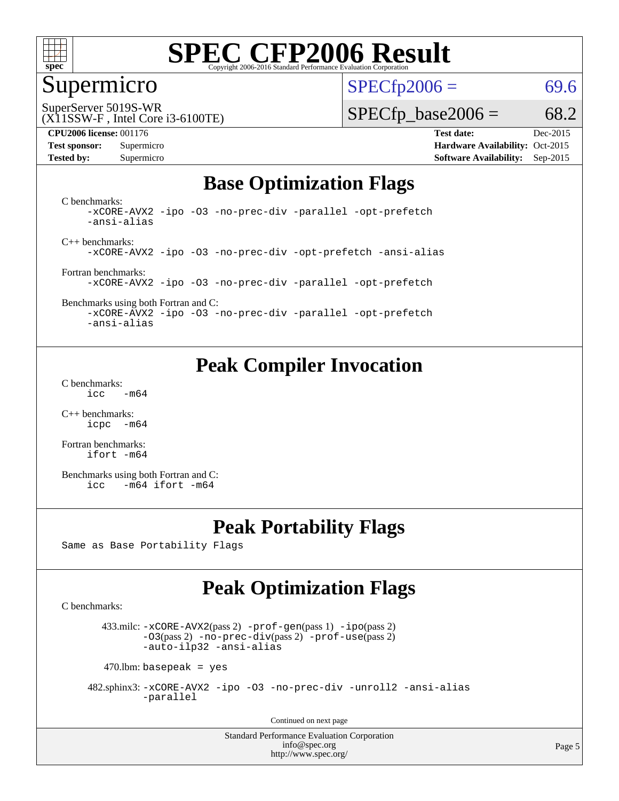

#### Supermicro

 $SPECTp2006 = 69.6$ 

(X11SSW-F , Intel Core i3-6100TE) SuperServer 5019S-WR

#### **[CPU2006 license:](http://www.spec.org/auto/cpu2006/Docs/result-fields.html#CPU2006license)** 001176 **[Test date:](http://www.spec.org/auto/cpu2006/Docs/result-fields.html#Testdate)** Dec-2015

 $SPECTp\_base2006 = 68.2$ 

**[Test sponsor:](http://www.spec.org/auto/cpu2006/Docs/result-fields.html#Testsponsor)** Supermicro Supermicro **[Hardware Availability:](http://www.spec.org/auto/cpu2006/Docs/result-fields.html#HardwareAvailability)** Oct-2015 **[Tested by:](http://www.spec.org/auto/cpu2006/Docs/result-fields.html#Testedby)** Supermicro **Supermicro [Software Availability:](http://www.spec.org/auto/cpu2006/Docs/result-fields.html#SoftwareAvailability)** Sep-2015

#### **[Base Optimization Flags](http://www.spec.org/auto/cpu2006/Docs/result-fields.html#BaseOptimizationFlags)**

[C benchmarks](http://www.spec.org/auto/cpu2006/Docs/result-fields.html#Cbenchmarks): [-xCORE-AVX2](http://www.spec.org/cpu2006/results/res2016q1/cpu2006-20160106-38568.flags.html#user_CCbase_f-xAVX2_5f5fc0cbe2c9f62c816d3e45806c70d7) [-ipo](http://www.spec.org/cpu2006/results/res2016q1/cpu2006-20160106-38568.flags.html#user_CCbase_f-ipo) [-O3](http://www.spec.org/cpu2006/results/res2016q1/cpu2006-20160106-38568.flags.html#user_CCbase_f-O3) [-no-prec-div](http://www.spec.org/cpu2006/results/res2016q1/cpu2006-20160106-38568.flags.html#user_CCbase_f-no-prec-div) [-parallel](http://www.spec.org/cpu2006/results/res2016q1/cpu2006-20160106-38568.flags.html#user_CCbase_f-parallel) [-opt-prefetch](http://www.spec.org/cpu2006/results/res2016q1/cpu2006-20160106-38568.flags.html#user_CCbase_f-opt-prefetch) [-ansi-alias](http://www.spec.org/cpu2006/results/res2016q1/cpu2006-20160106-38568.flags.html#user_CCbase_f-ansi-alias)

[C++ benchmarks:](http://www.spec.org/auto/cpu2006/Docs/result-fields.html#CXXbenchmarks) [-xCORE-AVX2](http://www.spec.org/cpu2006/results/res2016q1/cpu2006-20160106-38568.flags.html#user_CXXbase_f-xAVX2_5f5fc0cbe2c9f62c816d3e45806c70d7) [-ipo](http://www.spec.org/cpu2006/results/res2016q1/cpu2006-20160106-38568.flags.html#user_CXXbase_f-ipo) [-O3](http://www.spec.org/cpu2006/results/res2016q1/cpu2006-20160106-38568.flags.html#user_CXXbase_f-O3) [-no-prec-div](http://www.spec.org/cpu2006/results/res2016q1/cpu2006-20160106-38568.flags.html#user_CXXbase_f-no-prec-div) [-opt-prefetch](http://www.spec.org/cpu2006/results/res2016q1/cpu2006-20160106-38568.flags.html#user_CXXbase_f-opt-prefetch) [-ansi-alias](http://www.spec.org/cpu2006/results/res2016q1/cpu2006-20160106-38568.flags.html#user_CXXbase_f-ansi-alias)

[Fortran benchmarks](http://www.spec.org/auto/cpu2006/Docs/result-fields.html#Fortranbenchmarks): [-xCORE-AVX2](http://www.spec.org/cpu2006/results/res2016q1/cpu2006-20160106-38568.flags.html#user_FCbase_f-xAVX2_5f5fc0cbe2c9f62c816d3e45806c70d7) [-ipo](http://www.spec.org/cpu2006/results/res2016q1/cpu2006-20160106-38568.flags.html#user_FCbase_f-ipo) [-O3](http://www.spec.org/cpu2006/results/res2016q1/cpu2006-20160106-38568.flags.html#user_FCbase_f-O3) [-no-prec-div](http://www.spec.org/cpu2006/results/res2016q1/cpu2006-20160106-38568.flags.html#user_FCbase_f-no-prec-div) [-parallel](http://www.spec.org/cpu2006/results/res2016q1/cpu2006-20160106-38568.flags.html#user_FCbase_f-parallel) [-opt-prefetch](http://www.spec.org/cpu2006/results/res2016q1/cpu2006-20160106-38568.flags.html#user_FCbase_f-opt-prefetch)

[Benchmarks using both Fortran and C](http://www.spec.org/auto/cpu2006/Docs/result-fields.html#BenchmarksusingbothFortranandC): [-xCORE-AVX2](http://www.spec.org/cpu2006/results/res2016q1/cpu2006-20160106-38568.flags.html#user_CC_FCbase_f-xAVX2_5f5fc0cbe2c9f62c816d3e45806c70d7) [-ipo](http://www.spec.org/cpu2006/results/res2016q1/cpu2006-20160106-38568.flags.html#user_CC_FCbase_f-ipo) [-O3](http://www.spec.org/cpu2006/results/res2016q1/cpu2006-20160106-38568.flags.html#user_CC_FCbase_f-O3) [-no-prec-div](http://www.spec.org/cpu2006/results/res2016q1/cpu2006-20160106-38568.flags.html#user_CC_FCbase_f-no-prec-div) [-parallel](http://www.spec.org/cpu2006/results/res2016q1/cpu2006-20160106-38568.flags.html#user_CC_FCbase_f-parallel) [-opt-prefetch](http://www.spec.org/cpu2006/results/res2016q1/cpu2006-20160106-38568.flags.html#user_CC_FCbase_f-opt-prefetch)

[-ansi-alias](http://www.spec.org/cpu2006/results/res2016q1/cpu2006-20160106-38568.flags.html#user_CC_FCbase_f-ansi-alias)

### **[Peak Compiler Invocation](http://www.spec.org/auto/cpu2006/Docs/result-fields.html#PeakCompilerInvocation)**

[C benchmarks](http://www.spec.org/auto/cpu2006/Docs/result-fields.html#Cbenchmarks):  $\text{icc}$  -m64

[C++ benchmarks:](http://www.spec.org/auto/cpu2006/Docs/result-fields.html#CXXbenchmarks) [icpc -m64](http://www.spec.org/cpu2006/results/res2016q1/cpu2006-20160106-38568.flags.html#user_CXXpeak_intel_icpc_64bit_bedb90c1146cab66620883ef4f41a67e)

[Fortran benchmarks](http://www.spec.org/auto/cpu2006/Docs/result-fields.html#Fortranbenchmarks): [ifort -m64](http://www.spec.org/cpu2006/results/res2016q1/cpu2006-20160106-38568.flags.html#user_FCpeak_intel_ifort_64bit_ee9d0fb25645d0210d97eb0527dcc06e)

[Benchmarks using both Fortran and C](http://www.spec.org/auto/cpu2006/Docs/result-fields.html#BenchmarksusingbothFortranandC): [icc -m64](http://www.spec.org/cpu2006/results/res2016q1/cpu2006-20160106-38568.flags.html#user_CC_FCpeak_intel_icc_64bit_0b7121f5ab7cfabee23d88897260401c) [ifort -m64](http://www.spec.org/cpu2006/results/res2016q1/cpu2006-20160106-38568.flags.html#user_CC_FCpeak_intel_ifort_64bit_ee9d0fb25645d0210d97eb0527dcc06e)

#### **[Peak Portability Flags](http://www.spec.org/auto/cpu2006/Docs/result-fields.html#PeakPortabilityFlags)**

Same as Base Portability Flags

### **[Peak Optimization Flags](http://www.spec.org/auto/cpu2006/Docs/result-fields.html#PeakOptimizationFlags)**

[C benchmarks](http://www.spec.org/auto/cpu2006/Docs/result-fields.html#Cbenchmarks):

 433.milc: [-xCORE-AVX2](http://www.spec.org/cpu2006/results/res2016q1/cpu2006-20160106-38568.flags.html#user_peakPASS2_CFLAGSPASS2_LDFLAGS433_milc_f-xAVX2_5f5fc0cbe2c9f62c816d3e45806c70d7)(pass 2) [-prof-gen](http://www.spec.org/cpu2006/results/res2016q1/cpu2006-20160106-38568.flags.html#user_peakPASS1_CFLAGSPASS1_LDFLAGS433_milc_prof_gen_e43856698f6ca7b7e442dfd80e94a8fc)(pass 1) [-ipo](http://www.spec.org/cpu2006/results/res2016q1/cpu2006-20160106-38568.flags.html#user_peakPASS2_CFLAGSPASS2_LDFLAGS433_milc_f-ipo)(pass 2) [-O3](http://www.spec.org/cpu2006/results/res2016q1/cpu2006-20160106-38568.flags.html#user_peakPASS2_CFLAGSPASS2_LDFLAGS433_milc_f-O3)(pass 2) [-no-prec-div](http://www.spec.org/cpu2006/results/res2016q1/cpu2006-20160106-38568.flags.html#user_peakPASS2_CFLAGSPASS2_LDFLAGS433_milc_f-no-prec-div)(pass 2) [-prof-use](http://www.spec.org/cpu2006/results/res2016q1/cpu2006-20160106-38568.flags.html#user_peakPASS2_CFLAGSPASS2_LDFLAGS433_milc_prof_use_bccf7792157ff70d64e32fe3e1250b55)(pass 2) [-auto-ilp32](http://www.spec.org/cpu2006/results/res2016q1/cpu2006-20160106-38568.flags.html#user_peakCOPTIMIZE433_milc_f-auto-ilp32) [-ansi-alias](http://www.spec.org/cpu2006/results/res2016q1/cpu2006-20160106-38568.flags.html#user_peakCOPTIMIZE433_milc_f-ansi-alias)

 $470$ .lbm: basepeak = yes

 482.sphinx3: [-xCORE-AVX2](http://www.spec.org/cpu2006/results/res2016q1/cpu2006-20160106-38568.flags.html#user_peakOPTIMIZE482_sphinx3_f-xAVX2_5f5fc0cbe2c9f62c816d3e45806c70d7) [-ipo](http://www.spec.org/cpu2006/results/res2016q1/cpu2006-20160106-38568.flags.html#user_peakOPTIMIZE482_sphinx3_f-ipo) [-O3](http://www.spec.org/cpu2006/results/res2016q1/cpu2006-20160106-38568.flags.html#user_peakOPTIMIZE482_sphinx3_f-O3) [-no-prec-div](http://www.spec.org/cpu2006/results/res2016q1/cpu2006-20160106-38568.flags.html#user_peakOPTIMIZE482_sphinx3_f-no-prec-div) [-unroll2](http://www.spec.org/cpu2006/results/res2016q1/cpu2006-20160106-38568.flags.html#user_peakCOPTIMIZE482_sphinx3_f-unroll_784dae83bebfb236979b41d2422d7ec2) [-ansi-alias](http://www.spec.org/cpu2006/results/res2016q1/cpu2006-20160106-38568.flags.html#user_peakCOPTIMIZE482_sphinx3_f-ansi-alias) [-parallel](http://www.spec.org/cpu2006/results/res2016q1/cpu2006-20160106-38568.flags.html#user_peakCOPTIMIZE482_sphinx3_f-parallel)

Continued on next page

Standard Performance Evaluation Corporation [info@spec.org](mailto:info@spec.org) <http://www.spec.org/>

Page 5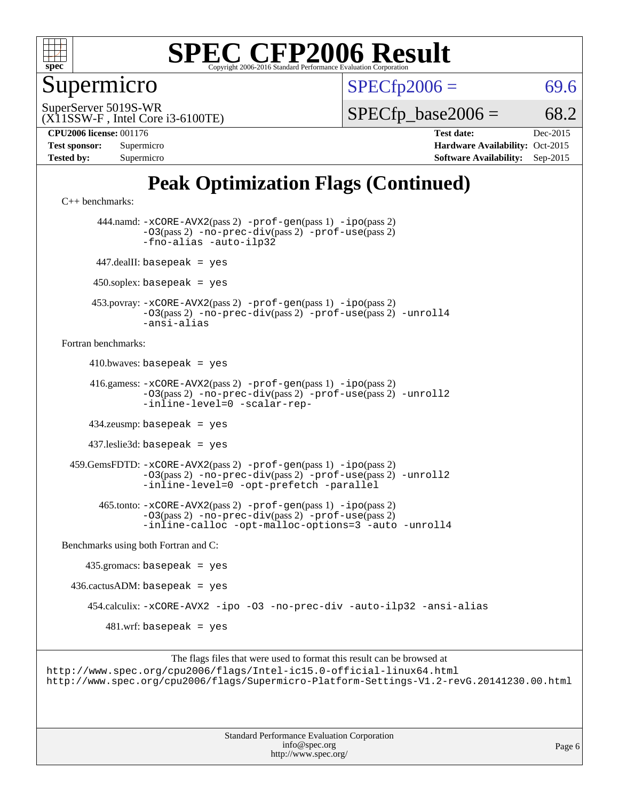

Supermicro

 $SPECTp2006 = 69.6$ 

(X11SSW-F , Intel Core i3-6100TE) SuperServer 5019S-WR

 $SPECTp\_base2006 = 68.2$ 

**[CPU2006 license:](http://www.spec.org/auto/cpu2006/Docs/result-fields.html#CPU2006license)** 001176 **[Test date:](http://www.spec.org/auto/cpu2006/Docs/result-fields.html#Testdate)** Dec-2015

| <b>Test sponsor:</b> | Supermicro |
|----------------------|------------|
| <b>Tested by:</b>    | Supermicro |

**[Hardware Availability:](http://www.spec.org/auto/cpu2006/Docs/result-fields.html#HardwareAvailability)** Oct-2015 **[Software Availability:](http://www.spec.org/auto/cpu2006/Docs/result-fields.html#SoftwareAvailability)** Sep-2015

### **[Peak Optimization Flags \(Continued\)](http://www.spec.org/auto/cpu2006/Docs/result-fields.html#PeakOptimizationFlags)**

[C++ benchmarks:](http://www.spec.org/auto/cpu2006/Docs/result-fields.html#CXXbenchmarks) 444.namd: [-xCORE-AVX2](http://www.spec.org/cpu2006/results/res2016q1/cpu2006-20160106-38568.flags.html#user_peakPASS2_CXXFLAGSPASS2_LDFLAGS444_namd_f-xAVX2_5f5fc0cbe2c9f62c816d3e45806c70d7)(pass 2) [-prof-gen](http://www.spec.org/cpu2006/results/res2016q1/cpu2006-20160106-38568.flags.html#user_peakPASS1_CXXFLAGSPASS1_LDFLAGS444_namd_prof_gen_e43856698f6ca7b7e442dfd80e94a8fc)(pass 1) [-ipo](http://www.spec.org/cpu2006/results/res2016q1/cpu2006-20160106-38568.flags.html#user_peakPASS2_CXXFLAGSPASS2_LDFLAGS444_namd_f-ipo)(pass 2)

```
-O3(pass 2) -no-prec-div(pass 2) -prof-use(pass 2)
               -fno-alias -auto-ilp32
       447.dealII: basepeak = yes
      450.soplex: basepeak = yes
      453.povray: -xCORE-AVX2(pass 2) -prof-gen(pass 1) -ipo(pass 2)
               -O3(pass 2) -no-prec-div(pass 2) -prof-use(pass 2) -unroll4
               -ansi-alias
Fortran benchmarks: 
     410.bwaves: basepeak = yes 416.gamess: -xCORE-AVX2(pass 2) -prof-gen(pass 1) -ipo(pass 2)
               -O3(pass 2) -no-prec-div(pass 2) -prof-use(pass 2) -unroll2
               -inline-level=0 -scalar-rep-
      434.zeusmp: basepeak = yes
      437.leslie3d: basepeak = yes
  459.GemsFDTD: -xCORE-AVX2(pass 2) -prof-gen(pass 1) -ipo(pass 2)
               -O3(pass 2) -no-prec-div(pass 2) -prof-use(pass 2) -unroll2
               -inline-level=0 -opt-prefetch -parallel
        465.tonto: -xCORE-AVX2(pass 2) -prof-gen(pass 1) -ipo(pass 2)
               -O3(pass 2) -no-prec-div(pass 2) -prof-use(pass 2)
               -inline-calloc -opt-malloc-options=3 -auto -unroll4
Benchmarks using both Fortran and C: 
     435.gromacs: basepeak = yes
 436.cactusADM:basepeak = yes 454.calculix: -xCORE-AVX2 -ipo -O3 -no-prec-div -auto-ilp32 -ansi-alias
```
 $481.$ wrf: basepeak = yes

The flags files that were used to format this result can be browsed at <http://www.spec.org/cpu2006/flags/Intel-ic15.0-official-linux64.html> <http://www.spec.org/cpu2006/flags/Supermicro-Platform-Settings-V1.2-revG.20141230.00.html>

> Standard Performance Evaluation Corporation [info@spec.org](mailto:info@spec.org) <http://www.spec.org/>